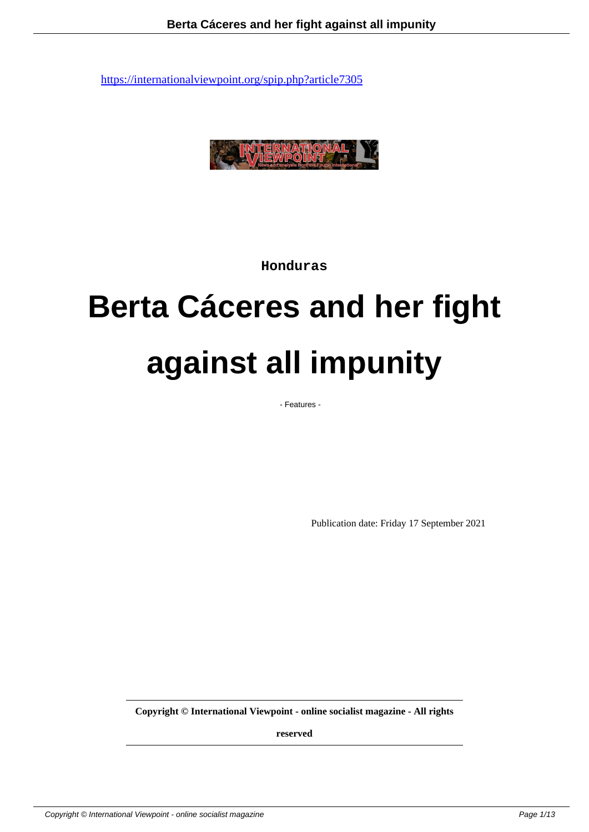

**Honduras**

# **Berta Cáceres and her fight against all impunity**

- Features -

Publication date: Friday 17 September 2021

**Copyright © International Viewpoint - online socialist magazine - All rights**

**reserved**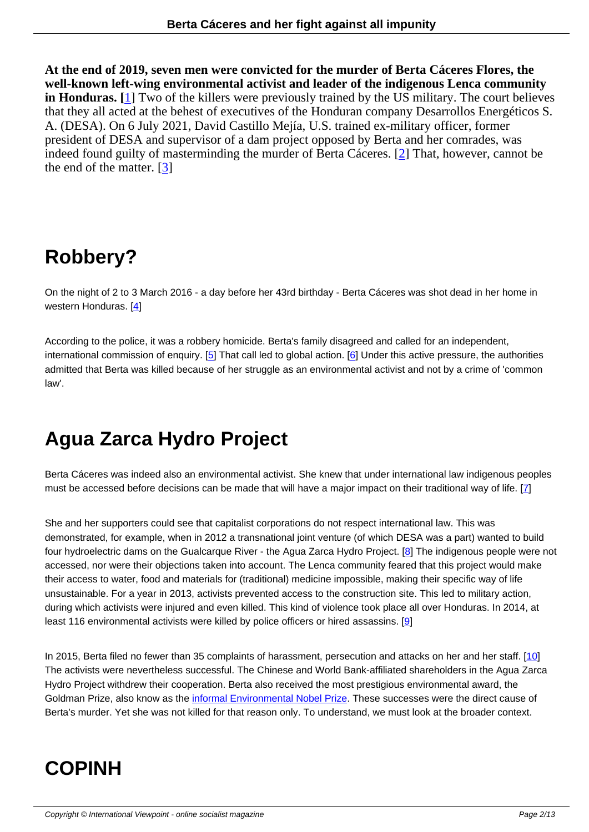**At the end of 2019, seven men were convicted for the murder of Berta Cáceres Flores, the well-known left-wing environmental activist and leader of the indigenous Lenca community in Honduras. [**1] Two of the killers were previously trained by the US military. The court believes that they all acted at the behest of executives of the Honduran company Desarrollos Energéticos S. A. (DESA). On 6 July 2021, David Castillo Mejía, U.S. trained ex-military officer, former president of DESA and supervisor of a dam project opposed by Berta and her comrades, was indeed found g[ui](#nb1)lty of masterminding the murder of Berta Cáceres. [2] That, however, cannot be the end of the matter. [3]

# **Robbery?**

On the night of 2 to 3 March 2016 - a day before her 43rd birthday - Berta Cáceres was shot dead in her home in western Honduras. [4]

According to the police, it was a robbery homicide. Berta's family disagreed and called for an independent, international commi[ss](#nb4)ion of enquiry. [5] That call led to global action. [6] Under this active pressure, the authorities admitted that Berta was killed because of her struggle as an environmental activist and not by a crime of 'common law'.

# **Agua Zarca Hydro Project**

Berta Cáceres was indeed also an environmental activist. She knew that under international law indigenous peoples must be accessed before decisions can be made that will have a major impact on their traditional way of life. [7]

She and her supporters could see that capitalist corporations do not respect international law. This was demonstrated, for example, when in 2012 a transnational joint venture (of which DESA was a part) wanted to [b](#nb7)uild four hydroelectric dams on the Gualcarque River - the Agua Zarca Hydro Project. [8] The indigenous people were not accessed, nor were their objections taken into account. The Lenca community feared that this project would make their access to water, food and materials for (traditional) medicine impossible, making their specific way of life unsustainable. For a year in 2013, activists prevented access to the construction site. This led to military action, during which activists were injured and even killed. This kind of violence took plac[e a](#nb8)ll over Honduras. In 2014, at least 116 environmental activists were killed by police officers or hired assassins. [9]

In 2015, Berta filed no fewer than 35 complaints of harassment, persecution and attacks on her and her staff. [10] The activists were nevertheless successful. The Chinese and World Bank-affiliate[d s](#nb9)hareholders in the Agua Zarca Hydro Project withdrew their cooperation. Berta also received the most prestigious environmental award, the Goldman Prize, also know as the informal Environmental Nobel Prize. These successes were the direct cause [of](#nb10) Berta's murder. Yet she was not killed for that reason only. To understand, we must look at the broader context.

# **COPINH**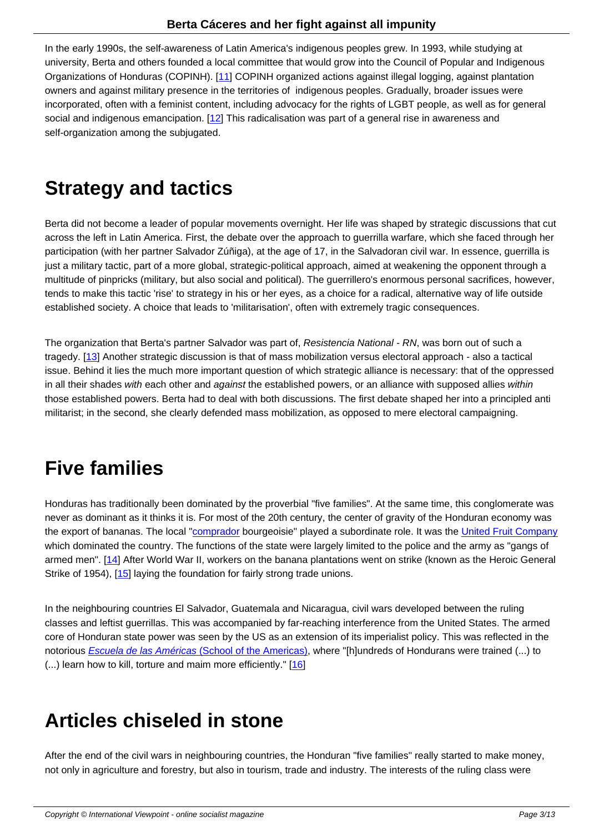In the early 1990s, the self-awareness of Latin America's indigenous peoples grew. In 1993, while studying at university, Berta and others founded a local committee that would grow into the Council of Popular and Indigenous Organizations of Honduras (COPINH). [11] COPINH organized actions against illegal logging, against plantation owners and against military presence in the territories of indigenous peoples. Gradually, broader issues were incorporated, often with a feminist content, including advocacy for the rights of LGBT people, as well as for general social and indigenous emancipation. [1[2\] T](#nb11)his radicalisation was part of a general rise in awareness and self-organization among the subjugated.

# **Strategy and tactics**

Berta did not become a leader of popular movements overnight. Her life was shaped by strategic discussions that cut across the left in Latin America. First, the debate over the approach to guerrilla warfare, which she faced through her participation (with her partner Salvador Zúñiga), at the age of 17, in the Salvadoran civil war. In essence, guerrilla is just a military tactic, part of a more global, strategic-political approach, aimed at weakening the opponent through a multitude of pinpricks (military, but also social and political). The guerrillero's enormous personal sacrifices, however, tends to make this tactic 'rise' to strategy in his or her eyes, as a choice for a radical, alternative way of life outside established society. A choice that leads to 'militarisation', often with extremely tragic consequences.

The organization that Berta's partner Salvador was part of, Resistencia National - RN, was born out of such a tragedy. [13] Another strategic discussion is that of mass mobilization versus electoral approach - also a tactical issue. Behind it lies the much more important question of which strategic alliance is necessary: that of the oppressed in all their shades with each other and against the established powers, or an alliance with supposed allies within those established powers. Berta had to deal with both discussions. The first debate shaped her into a principled anti militarist; [in](#nb13) the second, she clearly defended mass mobilization, as opposed to mere electoral campaigning.

# **Five families**

Honduras has traditionally been dominated by the proverbial "five families". At the same time, this conglomerate was never as dominant as it thinks it is. For most of the 20th century, the center of gravity of the Honduran economy was the export of bananas. The local "comprador bourgeoisie" played a subordinate role. It was the United Fruit Company which dominated the country. The functions of the state were largely limited to the police and the army as "gangs of armed men". [14] After World War II, workers on the banana plantations went on strike (known as the Heroic General Strike of 1954), [15] laying the fou[ndation for](https://en.wikipedia.org/wiki/Comprador) fairly strong trade unions.

In the neighb[ouri](#nb14)ng countries El Salvador, Guatemala and Nicaragua, civil wars developed between the ruling classes and lefti[st g](#nb15)uerrillas. This was accompanied by far-reaching interference from the United States. The armed core of Honduran state power was seen by the US as an extension of its imperialist policy. This was reflected in the notorious **Escuela de las Américas (School of the Americas)**, where "[h]undreds of Hondurans were trained (...) to (...) learn how to kill, torture and maim more efficiently." [16]

# **Articles chiseled in stone**

After the end of the civil wars in neighbouring countries, the Honduran "five families" really started to make money, not only in agriculture and forestry, but also in tourism, trade and industry. The interests of the ruling class were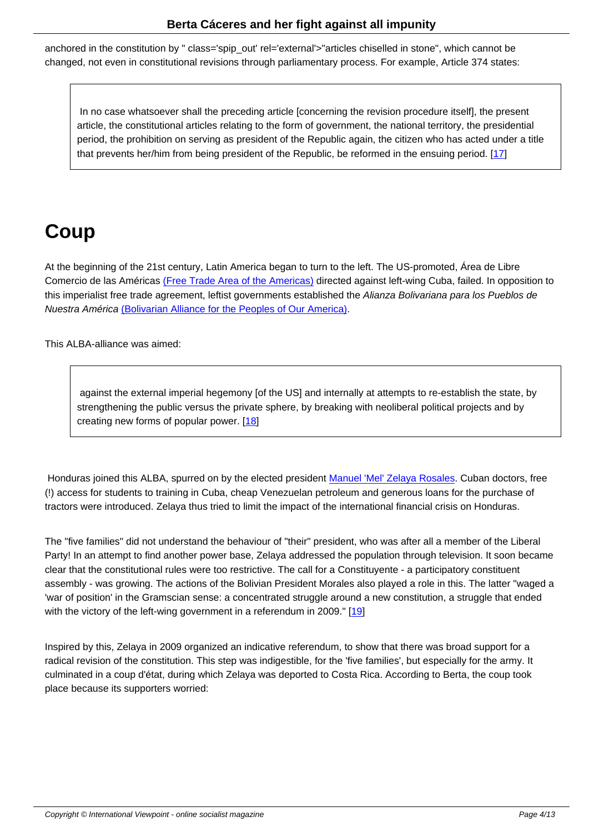anchored in the constitution by " class='spip\_out' rel='external'>"articles chiselled in stone", which cannot be changed, not even in constitutional revisions through parliamentary process. For example, Article 374 states:

 In no case whatsoever shall the preceding article [concerning the revision procedure itself], the present article, the constitutional articles relating to the form of government, the national territory, the presidential period, the prohibition on serving as president of the Republic again, the citizen who has acted under a title that prevents her/him from being president of the Republic, be reformed in the ensuing period. [17]

# **Coup**

At the beginning of the 21st century, Latin America began to turn to the left. The US-promoted, Área de Libre Comercio de las Américas (Free Trade Area of the Americas) directed against left-wing Cuba, failed. In opposition to this imperialist free trade agreement, leftist governments established the Alianza Bolivariana para los Pueblos de Nuestra América (Bolivarian Alliance for the Peoples of Our America).

This ALBA-alliance was aimed:

 against the external imperial hegemony [of the US] and internally at attempts to re-establish the state, by strengthening the public versus the private sphere, by breaking with neoliberal political projects and by creating new forms of popular power. [18]

Honduras joined this ALBA, spurred on by th[e e](#nb18)lected president Manuel 'Mel' Zelaya Rosales. Cuban doctors, free (!) access for students to training in Cuba, cheap Venezuelan petroleum and generous loans for the purchase of tractors were introduced. Zelaya thus tried to limit the impact of the international financial crisis on Honduras.

The "five families" did not understand the behaviour of "their" president, who was after all a member of the Liberal Party! In an attempt to find another power base, Zelaya addressed the population through television. It soon became clear that the constitutional rules were too restrictive. The call for a Constituyente - a participatory constituent assembly - was growing. The actions of the Bolivian President Morales also played a role in this. The latter "waged a 'war of position' in the Gramscian sense: a concentrated struggle around a new constitution, a struggle that ended with the victory of the left-wing government in a referendum in 2009." [19]

Inspired by this, Zelaya in 2009 organized an indicative referendum, to show that there was broad support for a radical revision of the constitution. This step was indigestible, for the 'f[ive](#nb19) families', but especially for the army. It culminated in a coup d'état, during which Zelaya was deported to Costa Rica. According to Berta, the coup took place because its supporters worried: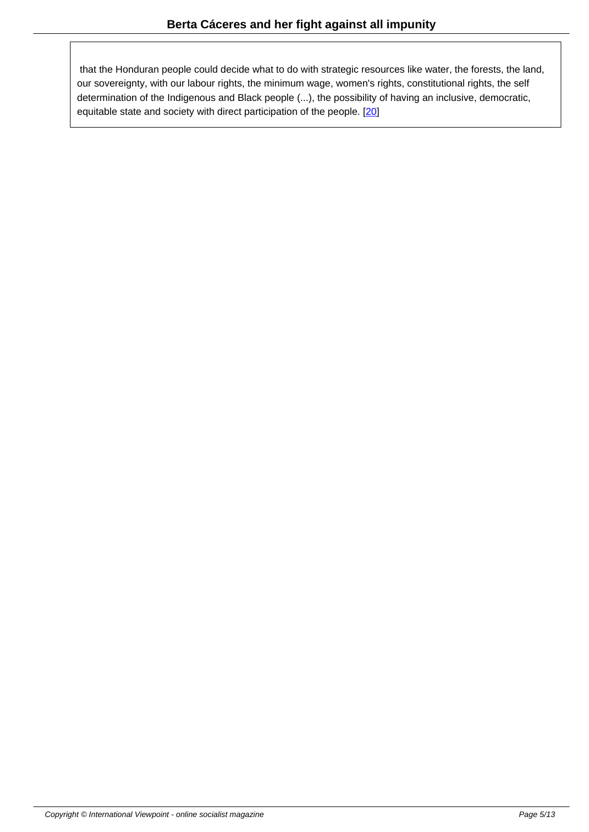that the Honduran people could decide what to do with strategic resources like water, the forests, the land, our sovereignty, with our labour rights, the minimum wage, women's rights, constitutional rights, the self determination of the Indigenous and Black people (...), the possibility of having an inclusive, democratic, equitable state and society with direct participation of the people. [20]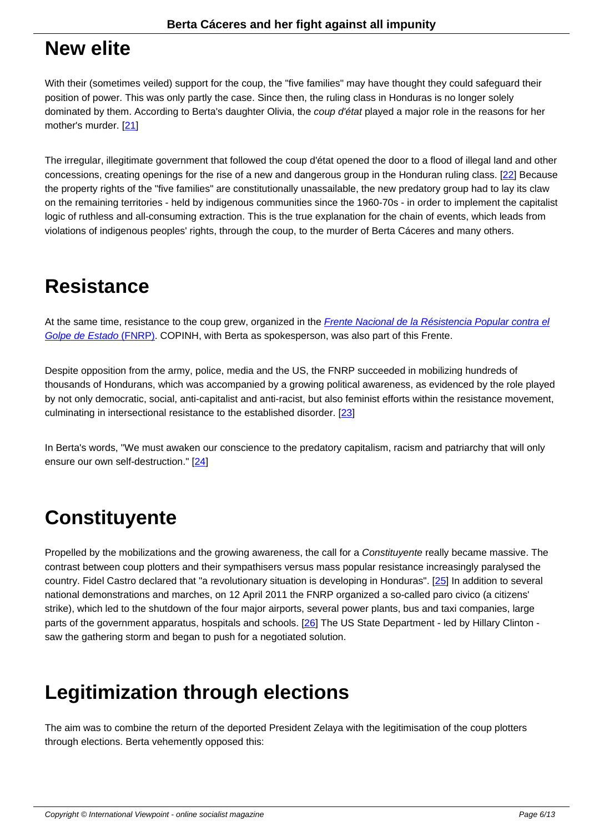#### **New elite**

With their (sometimes veiled) support for the coup, the "five families" may have thought they could safeguard their position of power. This was only partly the case. Since then, the ruling class in Honduras is no longer solely dominated by them. According to Berta's daughter Olivia, the *coup d'état* played a major role in the reasons for her mother's murder. [21]

The irregular, illegitimate government that followed the coup d'état opened the door to a flood of illegal land and other concessions, crea[ting](#nb21) openings for the rise of a new and dangerous group in the Honduran ruling class. [22] Because the property rights of the "five families" are constitutionally unassailable, the new predatory group had to lay its claw on the remaining territories - held by indigenous communities since the 1960-70s - in order to implement the capitalist logic of ruthless and all-consuming extraction. This is the true explanation for the chain of events, which leads from violations of indigenous peoples' rights, through the coup, to the murder of Berta Cáceres and many oth[ers.](#nb22)

### **Resistance**

At the same time, resistance to the coup grew, organized in the Frente Nacional de la Résistencia Popular contra el Golpe de Estado (FNRP). COPINH, with Berta as spokesperson, was also part of this Frente.

Despite opposition from the army, police, media and the US, th[e FNRP succeeded in mobilizing hundreds of](https://es.wikipedia.org/wiki/Frente_Nacional_de_Resistencia_Popular) [thousands of Hondurans,](https://es.wikipedia.org/wiki/Frente_Nacional_de_Resistencia_Popular) which was accompanied by a growing political awareness, as evidenced by the role played by not only democratic, social, anti-capitalist and anti-racist, but also feminist efforts within the resistance movement, culminating in intersectional resistance to the established disorder. [23]

In Berta's words, "We must awaken our conscience to the predatory capitalism, racism and patriarchy that will only ensure our own self-destruction." [24]

# **Constituyente**

Propelled by the mobilizations and the growing awareness, the call for a Constituyente really became massive. The contrast between coup plotters and their sympathisers versus mass popular resistance increasingly paralysed the country. Fidel Castro declared that "a revolutionary situation is developing in Honduras". [25] In addition to several national demonstrations and marches, on 12 April 2011 the FNRP organized a so-called paro civico (a citizens' strike), which led to the shutdown of the four major airports, several power plants, bus and taxi companies, large parts of the government apparatus, hospitals and schools. [26] The US State Department [- le](#nb25)d by Hillary Clinton saw the gathering storm and began to push for a negotiated solution.

## **Legitimization through elections**

The aim was to combine the return of the deported President Zelaya with the legitimisation of the coup plotters through elections. Berta vehemently opposed this: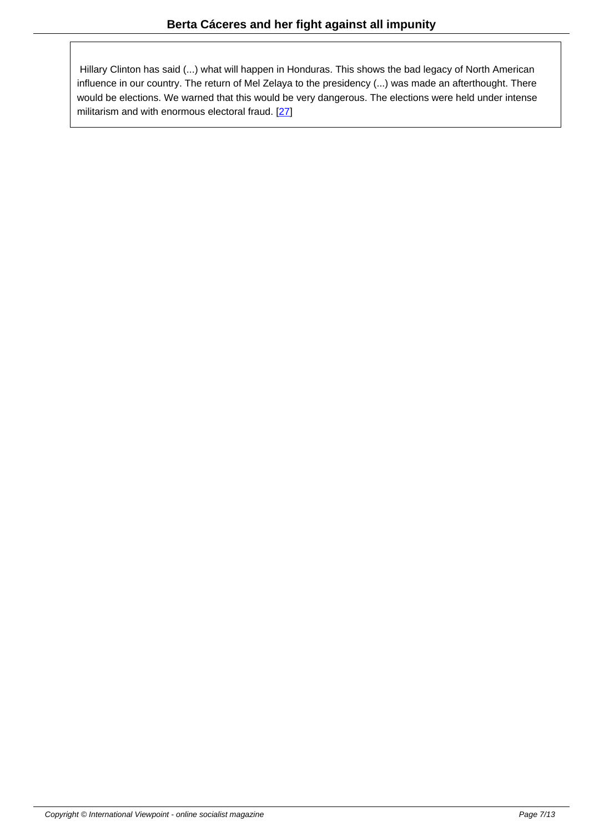Hillary Clinton has said (...) what will happen in Honduras. This shows the bad legacy of North American influence in our country. The return of Mel Zelaya to the presidency (...) was made an afterthought. There would be elections. We warned that this would be very dangerous. The elections were held under intense militarism and with enormous electoral fraud. [27]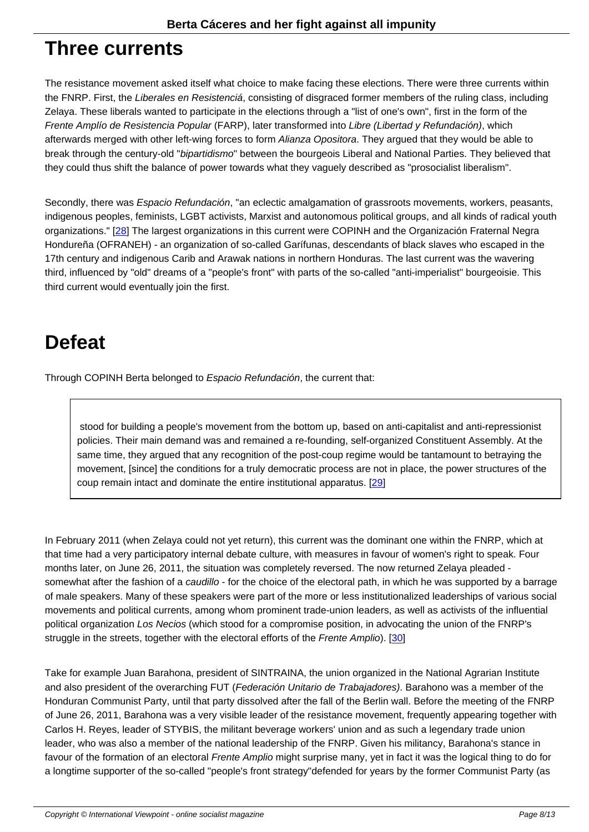#### **Three currents**

The resistance movement asked itself what choice to make facing these elections. There were three currents within the FNRP. First, the Liberales en Resistenciá, consisting of disgraced former members of the ruling class, including Zelaya. These liberals wanted to participate in the elections through a "list of one's own", first in the form of the Frente Amplío de Resistencia Popular (FARP), later transformed into Libre (Libertad y Refundación), which afterwards merged with other left-wing forces to form Alianza Opositora. They argued that they would be able to break through the century-old "bipartidismo" between the bourgeois Liberal and National Parties. They believed that they could thus shift the balance of power towards what they vaguely described as "prosocialist liberalism".

Secondly, there was *Espacio Refundación*, "an eclectic amalgamation of grassroots movements, workers, peasants, indigenous peoples, feminists, LGBT activists, Marxist and autonomous political groups, and all kinds of radical youth organizations." [28] The largest organizations in this current were COPINH and the Organización Fraternal Negra Hondureña (OFRANEH) - an organization of so-called Garífunas, descendants of black slaves who escaped in the 17th century and indigenous Carib and Arawak nations in northern Honduras. The last current was the wavering third, influenced by "old" dreams of a "people's front" with parts of the so-called "anti-imperialist" bourgeoisie. This third current wo[uld](#nb28) eventually join the first.

# **Defeat**

Through COPINH Berta belonged to Espacio Refundación, the current that:

 stood for building a people's movement from the bottom up, based on anti-capitalist and anti-repressionist policies. Their main demand was and remained a re-founding, self-organized Constituent Assembly. At the same time, they argued that any recognition of the post-coup regime would be tantamount to betraying the movement, [since] the conditions for a truly democratic process are not in place, the power structures of the coup remain intact and dominate the entire institutional apparatus. [29]

In February 2011 (when Zelaya could not yet return), this current was the [dom](#nb29)inant one within the FNRP, which at that time had a very participatory internal debate culture, with measures in favour of women's right to speak. Four months later, on June 26, 2011, the situation was completely reversed. The now returned Zelaya pleaded somewhat after the fashion of a caudillo - for the choice of the electoral path, in which he was supported by a barrage of male speakers. Many of these speakers were part of the more or less institutionalized leaderships of various social movements and political currents, among whom prominent trade-union leaders, as well as activists of the influential political organization Los Necios (which stood for a compromise position, in advocating the union of the FNRP's struggle in the streets, together with the electoral efforts of the Frente Amplio). [30]

Take for example Juan Barahona, president of SINTRAINA, the union organized in the National Agrarian Institute and also president of the overarching FUT (Federación Unitario de Trabajador[es\)](#nb30). Barahono was a member of the Honduran Communist Party, until that party dissolved after the fall of the Berlin wall. Before the meeting of the FNRP of June 26, 2011, Barahona was a very visible leader of the resistance movement, frequently appearing together with Carlos H. Reyes, leader of STYBIS, the militant beverage workers' union and as such a legendary trade union leader, who was also a member of the national leadership of the FNRP. Given his militancy, Barahona's stance in favour of the formation of an electoral Frente Amplio might surprise many, yet in fact it was the logical thing to do for a longtime supporter of the so-called "people's front strategy"defended for years by the former Communist Party (as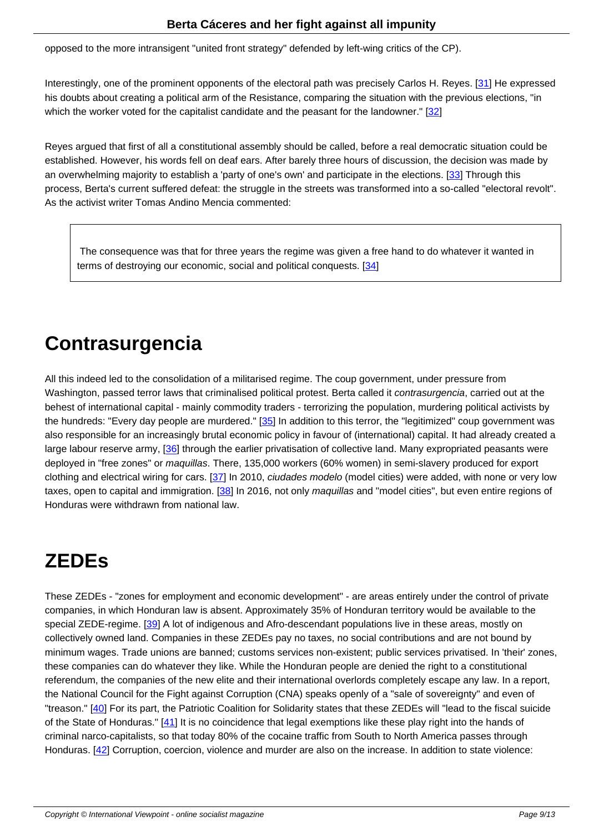opposed to the more intransigent "united front strategy" defended by left-wing critics of the CP).

Interestingly, one of the prominent opponents of the electoral path was precisely Carlos H. Reyes. [31] He expressed his doubts about creating a political arm of the Resistance, comparing the situation with the previous elections, "in which the worker voted for the capitalist candidate and the peasant for the landowner." [32]

Reyes argued that first of all a constitutional assembly should be called, before a real democratic situation could be established. However, his words fell on deaf ears. After barely three hours of discussio[n, th](#nb32)e decision was made by an overwhelming majority to establish a 'party of one's own' and participate in the elections. [33] Through this process, Berta's current suffered defeat: the struggle in the streets was transformed into a so-called "electoral revolt". As the activist writer Tomas Andino Mencia commented:

 The consequence was that for three years the regime was given a free hand to do whatever it wanted in terms of destroying our economic, social and political conquests. [34]

# **Contrasurgencia**

All this indeed led to the consolidation of a militarised regime. The coup government, under pressure from Washington, passed terror laws that criminalised political protest. Berta called it *contrasurgencia*, carried out at the behest of international capital - mainly commodity traders - terrorizing the population, murdering political activists by the hundreds: "Every day people are murdered." [35] In addition to this terror, the "legitimized" coup government was also responsible for an increasingly brutal economic policy in favour of (international) capital. It had already created a large labour reserve army, [36] through the earlier privatisation of collective land. Many expropriated peasants were deployed in "free zones" or maquillas. There, 135,000 workers (60% women) in semi-slavery produced for export clothing and electrical wiring for cars. [37] In 2010, *ciudades modelo* (model [ci](#nb35)ties) were added, with none or very low taxes, open to capital and immigration. [38] In 2016, not only maquillas and "model cities", but even entire regions of Honduras were withdrawn f[rom](#nb36) national law.

## **ZEDEs**

These ZEDEs - "zones for employment and economic development" - are areas entirely under the control of private companies, in which Honduran law is absent. Approximately 35% of Honduran territory would be available to the special ZEDE-regime. [39] A lot of indigenous and Afro-descendant populations live in these areas, mostly on collectively owned land. Companies in these ZEDEs pay no taxes, no social contributions and are not bound by minimum wages. Trade unions are banned; customs services non-existent; public services privatised. In 'their' zones, these companies can do whatever they like. While the Honduran people are denied the right to a constitutional referendum, the comp[anie](#nb39)s of the new elite and their international overlords completely escape any law. In a report, the National Council for the Fight against Corruption (CNA) speaks openly of a "sale of sovereignty" and even of "treason." [40] For its part, the Patriotic Coalition for Solidarity states that these ZEDEs will "lead to the fiscal suicide of the State of Honduras." [41] It is no coincidence that legal exemptions like these play right into the hands of criminal narco-capitalists, so that today 80% of the cocaine traffic from South to North America passes through Honduras. [\[42](#nb40)] Corruption, coercion, violence and murder are also on the increase. In addition to state violence: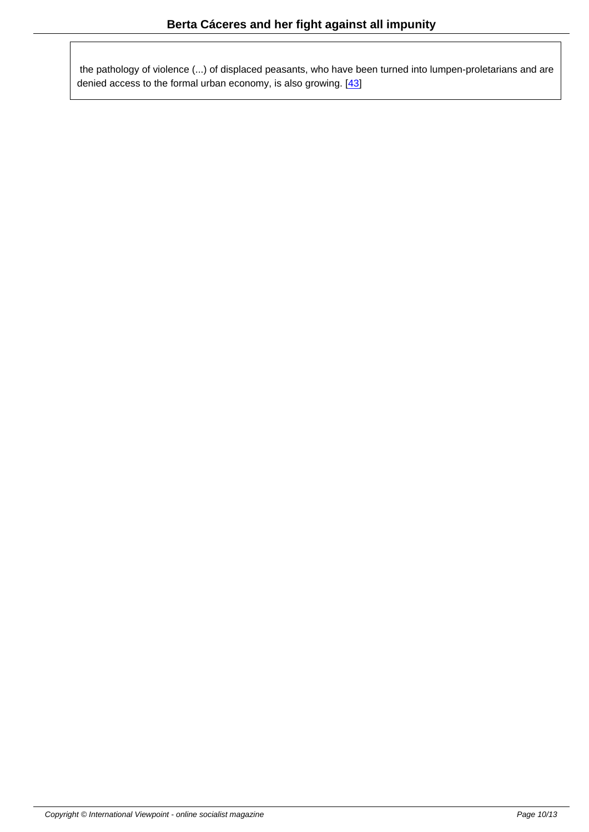the pathology of violence (...) of displaced peasants, who have been turned into lumpen-proletarians and are denied access to the formal urban economy, is also growing. [43]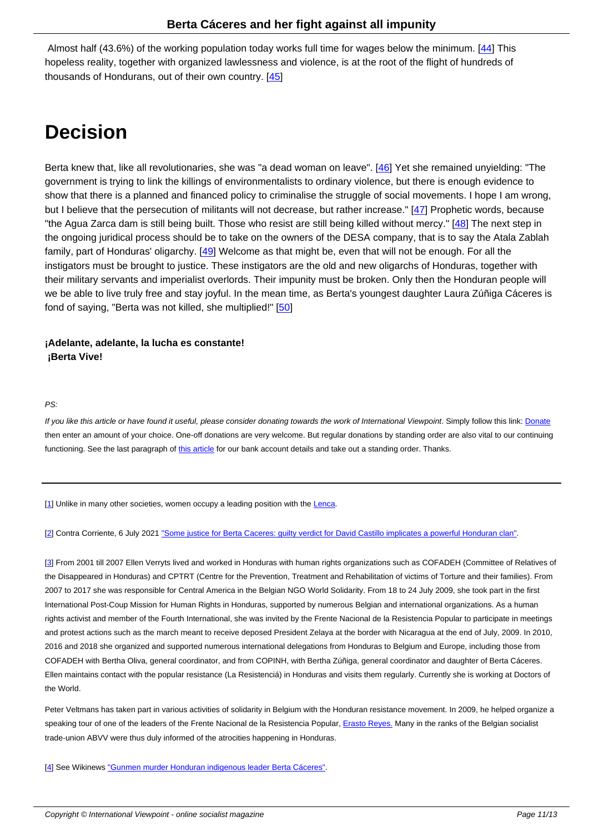Almost half (43.6%) of the working population today works full time for wages below the minimum. [44] This hopeless reality, together with organized lawlessness and violence, is at the root of the flight of hundreds of thousands of Hondurans, out of their own country.  $[45]$ 

# **Decision**

Berta knew that, like all revolutionaries, she was "a dead woman on leave". [46] Yet she remained unyielding: "The government is trying to link the killings of environmentalists to ordinary violence, but there is enough evidence to show that there is a planned and financed policy to criminalise the struggle of social movements. I hope I am wrong, but I believe that the persecution of militants will not decrease, but rather increase." [47] Prophetic words, because "the Agua Zarca dam is still being built. Those who resist are still being kille[d wi](#nb46)thout mercy." [48] The next step in the ongoing juridical process should be to take on the owners of the DESA company, that is to say the Atala Zablah family, part of Honduras' oligarchy. [49] Welcome as that might be, even that will not be enough. For all the instigators must be brought to justice. These instigators are the old and new oligarch[s o](#nb47)f Honduras, together with their military servants and imperialist overlords. Their impunity must be broken. Only then the [Ho](#nb48)nduran people will we be able to live truly free and stay joyful. In the mean time, as Berta's youngest daughter Laura Zúñiga Cáceres is fond of saying, "Berta was not killed[, sh](#nb49)e multiplied!" [50]

**¡Adelante, adelante, la lucha es constante! ¡Berta Vive!**

PS:

If you like this article or have found it useful, please consider donating towards the work of International Viewpoint. Simply follow this link: Donate then enter an amount of your choice. One-off donations are very welcome. But regular donations by standing order are also vital to our continuing functioning. See the last paragraph of this article for our bank account details and take out a standing order. Thanks.

[1] Unlike in many other societies, wo[men occupy](http://www.internationalviewpoint.org/spip.php?article5368) a leading position with the Lenca.

[2] Contra Corriente, 6 July 2021 "Some justice for Berta Caceres: guilty verdict for David Castillo implicates a powerful Honduran clan".

[3] From 2001 till 2007 Ellen Verryts lived and worked in Honduras with human rights organizations such as COFADEH (Committee of Relatives of t[h](#nh2)e Disappeared in Honduras) a[nd CPTRT \(Centre for the Prevention, Treatment and Rehabilitation of victims of Torture and their famil](https://contracorriente.red/en/2021/07/06/some-justice-for-berta-caceres-guilty-verdict-for-david-castillo-implicates-a-powerful-honduran-clan/)ies). From 2007 to 2017 she was responsible for Central America in the Belgian NGO World Solidarity. From 18 to 24 July 2009, she took part in the first International Post-Coup Mission for Human Rights in Honduras, supported by numerous Belgian and international organizations. As a human [rig](#nh3)hts activist and member of the Fourth International, she was invited by the Frente Nacional de la Resistencia Popular to participate in meetings and protest actions such as the march meant to receive deposed President Zelaya at the border with Nicaragua at the end of July, 2009. In 2010, 2016 and 2018 she organized and supported numerous international delegations from Honduras to Belgium and Europe, including those from COFADEH with Bertha Oliva, general coordinator, and from COPINH, with Bertha Zúñiga, general coordinator and daughter of Berta Cáceres. Ellen maintains contact with the popular resistance (La Resistenciá) in Honduras and visits them regularly. Currently she is working at Doctors of the World.

Peter Veltmans has taken part in various activities of solidarity in Belgium with the Honduran resistance movement. In 2009, he helped organize a speaking tour of one of the leaders of the Frente Nacional de la Resistencia Popular, *Erasto Reyes*. Many in the ranks of the Belgian socialist trade-union ABVV were thus duly informed of the atrocities happening in Honduras.

[4] See Wikinews "Gunmen murder Honduran indigenous leader Berta Cáceres".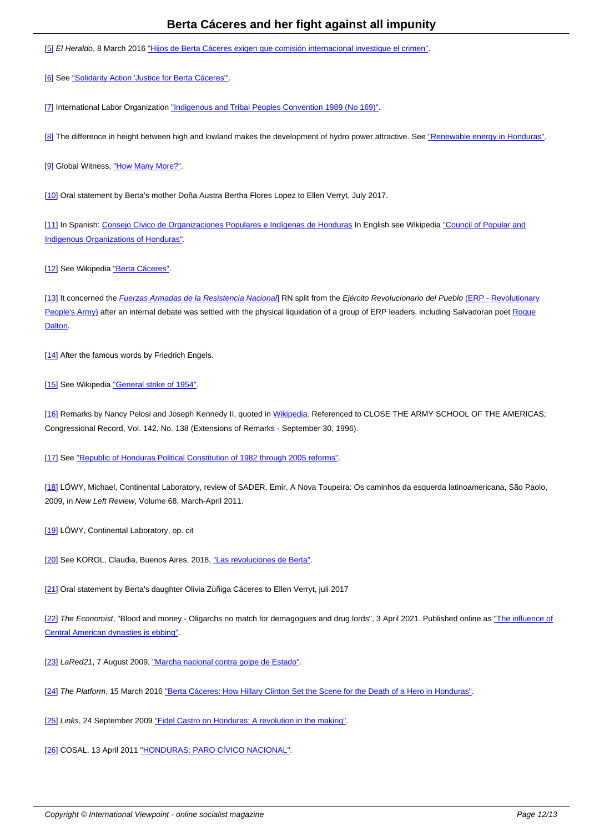**<u>[9]</u>** El Heraldo, 6 March 2010 <u>III</u>

[6] See "Solidarity Action 'Justice for Berta Cáceres"'.

[7] International Labor Organization "Indigenous and Tribal Peoples Convention 1989 (No 169)".

[8] The difference in height between high and lowland makes the development of hydro power attractive. See "Renewable energy in Honduras".

[9] Global Witness, "How Many More?".

[10] Oral statement by Berta's mother Doña Austra Bertha Flores Lopez to Ellen Verryt, July 2017.

[11] In Spanish: Consejo Cívico de Organizaciones Populares e Indígenas de Honduras In English see Wikipedia "Council of Popular and I[nd](#nh10)igenous Organizations of Honduras".

[[12](#nh11)] See Wikipedia ["Berta Cáceres".](https://copinh.org/)

[13] It concerned the *Fuerzas Armadas de la Resistencia Nacional*] RN split from the *Ejército Revolucionario del Pueblo* (ERP - Revolutionary [Peo](#nh12)ple's Army) aft[er an internal deb](https://en.wikipedia.org/wiki/Berta_C%C3%A1ceres)ate was settled with the physical liquidation of a group of ERP leaders, including Salvadoran poet Roque Dalton.

[\[14\] After the fa](https://en.wikipedia.org/wiki/People%27s_Revolutionary_Army_(El_Salvador))mous words by Friedrich Engels.

[15] See Wikipedia "General strike of 1954".

[16] Remarks by Nancy Pelosi and Joseph Kennedy II, quoted in Wikipedia. Referenced to CLOSE THE ARMY SCHOOL OF THE AMERICAS; [Con](#nh15)gressional Rec[ord, Vol. 142, No. 138 \(E](https://en.wikipedia.org/wiki/General_strike_of_1954)xtensions of Remarks - September 30, 1996).

[[17](#nh16)] See "Republic of Honduras Political Constitution of 1982 thr[ough 2005](https://en.wikipedia.org/wiki/Western_Hemisphere_Institute_for_Security_Cooperation) reforms".

[18] LÖWY, Michael, Continental Laboratory, review of SADER, Emir, A Nova Toupeira: Os caminhos da esquerda latinoamericana, São Paolo, [200](#nh17)9, in New Left Review[, Volume 68, March-April 2011.](https://pdba.georgetown.edu/Constitutions/Honduras/hond05.html)

[[19](#nh18)] LÖWY, Continental Laboratory, op. cit

[20] See KOROL, Claudia, Buenos Aires, 2018, "Las revoluciones de Berta".

[21] Oral statement by Berta's daughter Olivia Zúñiga Cáceres to Ellen Verryt, juli 2017

[22] The Economist, "Blood and money - Oligarchs no match for demagogues and drug lords", 3 April 2021. Published online as "The influence of [Cen](#nh21)tral American dynasties is ebbing".

[[23](#nh22)] LaRed21, 7 August 2009, "Marcha nacional contra golpe de Estado".

[24] The Platform, 15 March 2016 "Berta Cáceres: How Hillary Clinton Set the Scene for the Death of a Hero in Honduras".

[25] Links, 24 September 2009 "Fidel Castro on Honduras: A revolution in the making".

[26] COSAL, 13 April 2011 "HONDURAS: PARO CÍVICO NACIONAL".